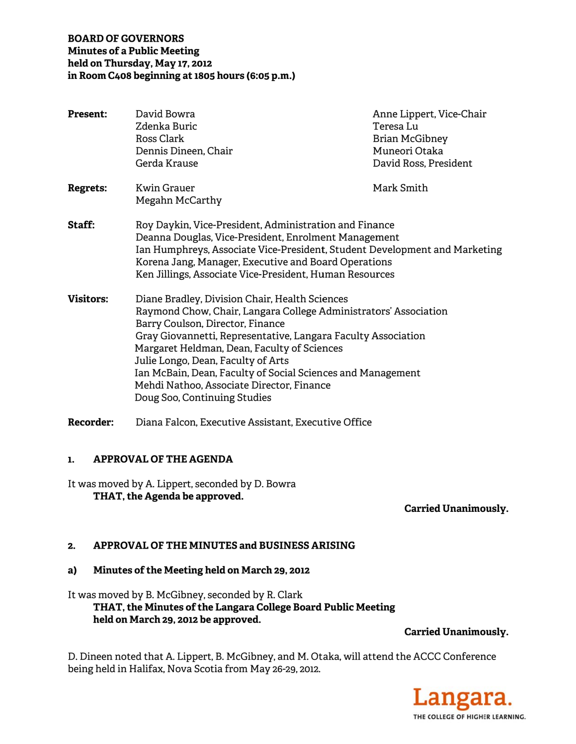## **BOARD OF GOVERNORS Minutes of a Public Meeting** held on Thursday, May 17, 2012 in Room C408 beginning at 1805 hours (6:05 p.m.)

| <b>Present:</b>  | David Bowra<br>Zdenka Buric<br>Ross Clark<br>Dennis Dineen, Chair<br>Gerda Krause                                                                                                                                                                                                                                                                                                                                                                        | Anne Lippert, Vice-Chair<br>Teresa Lu<br>Brian McGibney<br>Muneori Otaka<br>David Ross, President |
|------------------|----------------------------------------------------------------------------------------------------------------------------------------------------------------------------------------------------------------------------------------------------------------------------------------------------------------------------------------------------------------------------------------------------------------------------------------------------------|---------------------------------------------------------------------------------------------------|
| <b>Regrets:</b>  | Kwin Grauer<br>Megahn McCarthy                                                                                                                                                                                                                                                                                                                                                                                                                           | Mark Smith                                                                                        |
| <b>Staff:</b>    | Roy Daykin, Vice-President, Administration and Finance<br>Deanna Douglas, Vice-President, Enrolment Management<br>Ian Humphreys, Associate Vice-President, Student Development and Marketing<br>Korena Jang, Manager, Executive and Board Operations<br>Ken Jillings, Associate Vice-President, Human Resources                                                                                                                                          |                                                                                                   |
| <b>Visitors:</b> | Diane Bradley, Division Chair, Health Sciences<br>Raymond Chow, Chair, Langara College Administrators' Association<br>Barry Coulson, Director, Finance<br>Gray Giovannetti, Representative, Langara Faculty Association<br>Margaret Heldman, Dean, Faculty of Sciences<br>Julie Longo, Dean, Faculty of Arts<br>Ian McBain, Dean, Faculty of Social Sciences and Management<br>Mehdi Nathoo, Associate Director, Finance<br>Doug Soo, Continuing Studies |                                                                                                   |
| <b>Recorder:</b> | Diana Falcon, Executive Assistant, Executive Office                                                                                                                                                                                                                                                                                                                                                                                                      |                                                                                                   |

#### **APPROVAL OF THE AGENDA**  $\mathbf{1}$ .

It was moved by A. Lippert, seconded by D. Bowra THAT, the Agenda be approved.

**Carried Unanimously.** 

#### APPROVAL OF THE MINUTES and BUSINESS ARISING  $2.$

#### Minutes of the Meeting held on March 29, 2012  $a)$

It was moved by B. McGibney, seconded by R. Clark THAT, the Minutes of the Langara College Board Public Meeting held on March 29, 2012 be approved.

**Carried Unanimously.** 

D. Dineen noted that A. Lippert, B. McGibney, and M. Otaka, will attend the ACCC Conference being held in Halifax, Nova Scotia from May 26-29, 2012.

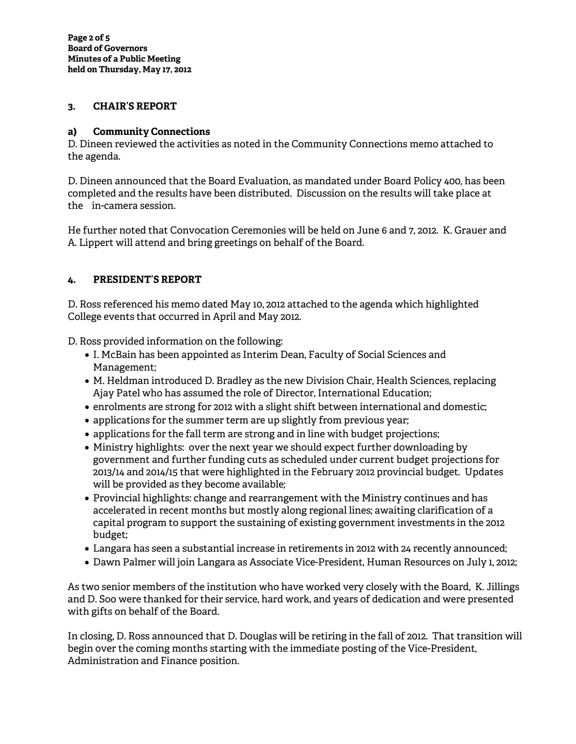## **3. CHAIR'S REPORT**

## **a) Community Connections**

D. Dineen reviewed the activities as noted in the Community Connections memo attached to the agenda.

D. Dineen announced that the Board Evaluation, as mandated under Board Policy 400, has been completed and the results have been distributed. Discussion on the results will take place at the in-camera session.

He further noted that Convocation Ceremonies will be held on June 6 and 7, 2012. K. Grauer and A. Lippert will attend and bring greetings on behalf of the Board.

## **4. PRESIDENT'S REPORT**

D. Ross referenced his memo dated May 10, 2012 attached to the agenda which highlighted College events that occurred in April and May 2012.

D. Ross provided information on the following:

- I. McBain has been appointed as Interim Dean, Faculty of Social Sciences and Management;
- M. Heldman introduced D. Bradley as the new Division Chair, Health Sciences, replacing Ajay Patel who has assumed the role of Director, International Education;
- enrolments are strong for 2012 with a slight shift between international and domestic;
- applications for the summer term are up slightly from previous year;
- applications for the fall term are strong and in line with budget projections;
- Ministry highlights: over the next year we should expect further downloading by government and further funding cuts as scheduled under current budget projections for 2013/14 and 2014/15 that were highlighted in the February 2012 provincial budget. Updates will be provided as they become available;
- Provincial highlights: change and rearrangement with the Ministry continues and has accelerated in recent months but mostly along regional lines; awaiting clarification of a capital program to support the sustaining of existing government investments in the 2012 budget;
- Langara has seen a substantial increase in retirements in 2012 with 24 recently announced;
- Dawn Palmer will join Langara as Associate Vice-President, Human Resources on July 1, 2012;

As two senior members of the institution who have worked very closely with the Board, K. Jillings and D. Soo were thanked for their service, hard work, and years of dedication and were presented with gifts on behalf of the Board.

In closing, D. Ross announced that D. Douglas will be retiring in the fall of 2012. That transition will begin over the coming months starting with the immediate posting of the Vice-President, Administration and Finance position.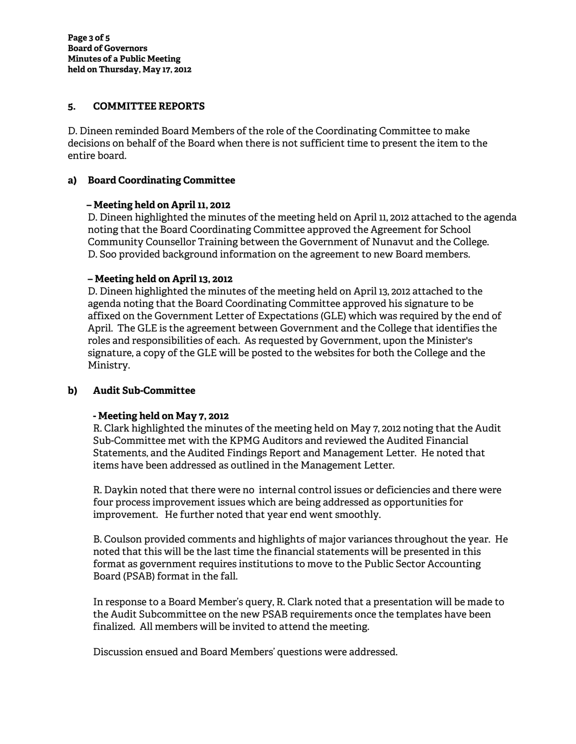### **5. COMMITTEE REPORTS**

D. Dineen reminded Board Members of the role of the Coordinating Committee to make decisions on behalf of the Board when there is not sufficient time to present the item to the entire board.

#### **a) Board Coordinating Committee**

#### **– Meeting held on April 11, 2012**

D. Dineen highlighted the minutes of the meeting held on April 11, 2012 attached to the agenda noting that the Board Coordinating Committee approved the Agreement for School Community Counsellor Training between the Government of Nunavut and the College. D. Soo provided background information on the agreement to new Board members.

#### **– Meeting held on April 13, 2012**

D. Dineen highlighted the minutes of the meeting held on April 13, 2012 attached to the agenda noting that the Board Coordinating Committee approved his signature to be affixed on the Government Letter of Expectations (GLE) which was required by the end of April. The GLE is the agreement between Government and the College that identifies the roles and responsibilities of each. As requested by Government, upon the Minister's signature, a copy of the GLE will be posted to the websites for both the College and the Ministry.

### **b) Audit Sub-Committee**

### **- Meeting held on May 7, 2012**

R. Clark highlighted the minutes of the meeting held on May 7, 2012 noting that the Audit Sub-Committee met with the KPMG Auditors and reviewed the Audited Financial Statements, and the Audited Findings Report and Management Letter. He noted that items have been addressed as outlined in the Management Letter.

R. Daykin noted that there were no internal control issues or deficiencies and there were four process improvement issues which are being addressed as opportunities for improvement. He further noted that year end went smoothly.

B. Coulson provided comments and highlights of major variances throughout the year. He noted that this will be the last time the financial statements will be presented in this format as government requires institutions to move to the Public Sector Accounting Board (PSAB) format in the fall.

In response to a Board Member's query, R. Clark noted that a presentation will be made to the Audit Subcommittee on the new PSAB requirements once the templates have been finalized. All members will be invited to attend the meeting.

Discussion ensued and Board Members' questions were addressed.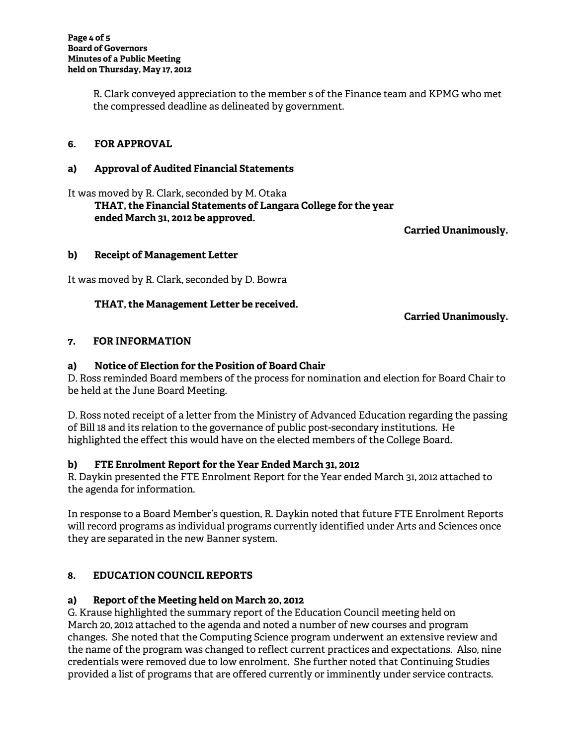R. Clark conveyed appreciation to the member s of the Finance team and KPMG who met the compressed deadline as delineated by government.

## **6. FOR APPROVAL**

#### **a) Approval of Audited Financial Statements**

It was moved by R. Clark, seconded by M. Otaka  **THAT, the Financial Statements of Langara College for the year ended March 31, 2012 be approved.** 

**Carried Unanimously.** 

#### **b) Receipt of Management Letter**

It was moved by R. Clark, seconded by D. Bowra

### **THAT, the Management Letter be received.**

**Carried Unanimously.** 

### **7. FOR INFORMATION**

#### **a) Notice of Election for the Position of Board Chair**

D. Ross reminded Board members of the process for nomination and election for Board Chair to be held at the June Board Meeting.

D. Ross noted receipt of a letter from the Ministry of Advanced Education regarding the passing of Bill 18 and its relation to the governance of public post-secondary institutions. He highlighted the effect this would have on the elected members of the College Board.

### **b) FTE Enrolment Report for the Year Ended March 31, 2012**

R. Daykin presented the FTE Enrolment Report for the Year ended March 31, 2012 attached to the agenda for information.

In response to a Board Member's question, R. Daykin noted that future FTE Enrolment Reports will record programs as individual programs currently identified under Arts and Sciences once they are separated in the new Banner system.

### **8. EDUCATION COUNCIL REPORTS**

### **a) Report of the Meeting held on March 20, 2012**

G. Krause highlighted the summary report of the Education Council meeting held on March 20, 2012 attached to the agenda and noted a number of new courses and program changes. She noted that the Computing Science program underwent an extensive review and the name of the program was changed to reflect current practices and expectations. Also, nine credentials were removed due to low enrolment. She further noted that Continuing Studies provided a list of programs that are offered currently or imminently under service contracts.